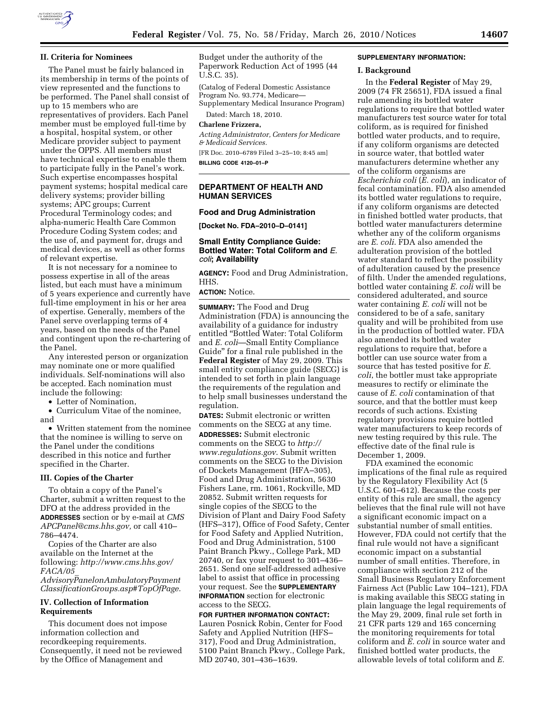

### **II. Criteria for Nominees**

The Panel must be fairly balanced in its membership in terms of the points of view represented and the functions to be performed. The Panel shall consist of up to 15 members who are representatives of providers. Each Panel member must be employed full-time by a hospital, hospital system, or other Medicare provider subject to payment under the OPPS. All members must have technical expertise to enable them to participate fully in the Panel's work. Such expertise encompasses hospital payment systems; hospital medical care delivery systems; provider billing systems; APC groups; Current Procedural Terminology codes; and alpha-numeric Health Care Common Procedure Coding System codes; and the use of, and payment for, drugs and medical devices, as well as other forms of relevant expertise.

It is not necessary for a nominee to possess expertise in all of the areas listed, but each must have a minimum of 5 years experience and currently have full-time employment in his or her area of expertise. Generally, members of the Panel serve overlapping terms of 4 years, based on the needs of the Panel and contingent upon the re-chartering of the Panel.

Any interested person or organization may nominate one or more qualified individuals. Self-nominations will also be accepted. Each nomination must include the following:

• Letter of Nomination,

• Curriculum Vitae of the nominee, and

• Written statement from the nominee that the nominee is willing to serve on the Panel under the conditions described in this notice and further specified in the Charter.

#### **III. Copies of the Charter**

To obtain a copy of the Panel's Charter, submit a written request to the DFO at the address provided in the **ADDRESSES** section or by e-mail at *CMS APCPanel@cms.hhs.gov,* or call 410– 786–4474.

Copies of the Charter are also available on the Internet at the following: *http://www.cms.hhs.gov/ FACA/05*\_

*AdvisoryPanelonAmbulatoryPayment ClassificationGroups.asp#TopOfPage.* 

## **IV. Collection of Information Requirements**

This document does not impose information collection and recordkeeping requirements. Consequently, it need not be reviewed by the Office of Management and

Budget under the authority of the Paperwork Reduction Act of 1995 (44 U.S.C. 35).

(Catalog of Federal Domestic Assistance Program No. 93.774, Medicare— Supplementary Medical Insurance Program)

Dated: March 18, 2010.

#### **Charlene Frizzera,**

*Acting Administrator, Centers for Medicare & Medicaid Services.* 

[FR Doc. 2010–6789 Filed 3–25–10; 8:45 am] **BILLING CODE 4120–01–P** 

## **DEPARTMENT OF HEALTH AND HUMAN SERVICES**

#### **Food and Drug Administration**

**[Docket No. FDA–2010–D–0141]** 

# **Small Entity Compliance Guide: Bottled Water: Total Coliform and** *E. coli***; Availability**

**AGENCY:** Food and Drug Administration, HHS.

**ACTION:** Notice.

**SUMMARY:** The Food and Drug Administration (FDA) is announcing the availability of a guidance for industry entitled ''Bottled Water: Total Coliform and *E. coli*—Small Entity Compliance Guide'' for a final rule published in the **Federal Register** of May 29, 2009. This small entity compliance guide (SECG) is intended to set forth in plain language the requirements of the regulation and to help small businesses understand the regulation.

**DATES:** Submit electronic or written comments on the SECG at any time. **ADDRESSES:** Submit electronic comments on the SECG to *http:// www.regulations.gov*. Submit written comments on the SECG to the Division of Dockets Management (HFA–305), Food and Drug Administration, 5630 Fishers Lane, rm. 1061, Rockville, MD 20852. Submit written requests for single copies of the SECG to the Division of Plant and Dairy Food Safety (HFS–317), Office of Food Safety, Center for Food Safety and Applied Nutrition, Food and Drug Administration, 5100 Paint Branch Pkwy., College Park, MD 20740, or fax your request to 301–436– 2651. Send one self-addressed adhesive label to assist that office in processing your request. See the **SUPPLEMENTARY INFORMATION** section for electronic access to the SECG.

**FOR FURTHER INFORMATION CONTACT:**  Lauren Posnick Robin, Center for Food Safety and Applied Nutrition (HFS– 317), Food and Drug Administration, 5100 Paint Branch Pkwy., College Park, MD 20740, 301–436–1639.

## **SUPPLEMENTARY INFORMATION:**

#### **I. Background**

In the **Federal Register** of May 29, 2009 (74 FR 25651), FDA issued a final rule amending its bottled water regulations to require that bottled water manufacturers test source water for total coliform, as is required for finished bottled water products, and to require, if any coliform organisms are detected in source water, that bottled water manufacturers determine whether any of the coliform organisms are *Escherichia coli* (*E. coli*), an indicator of fecal contamination. FDA also amended its bottled water regulations to require, if any coliform organisms are detected in finished bottled water products, that bottled water manufacturers determine whether any of the coliform organisms are *E. coli*. FDA also amended the adulteration provision of the bottled water standard to reflect the possibility of adulteration caused by the presence of filth. Under the amended regulations, bottled water containing *E. coli* will be considered adulterated, and source water containing *E. coli* will not be considered to be of a safe, sanitary quality and will be prohibited from use in the production of bottled water. FDA also amended its bottled water regulations to require that, before a bottler can use source water from a source that has tested positive for *E. coli*, the bottler must take appropriate measures to rectify or eliminate the cause of *E. coli* contamination of that source, and that the bottler must keep records of such actions. Existing regulatory provisions require bottled water manufacturers to keep records of new testing required by this rule. The effective date of the final rule is December 1, 2009.

FDA examined the economic implications of the final rule as required by the Regulatory Flexibility Act (5 U.S.C. 601–612). Because the costs per entity of this rule are small, the agency believes that the final rule will not have a significant economic impact on a substantial number of small entities. However, FDA could not certify that the final rule would not have a significant economic impact on a substantial number of small entities. Therefore, in compliance with section 212 of the Small Business Regulatory Enforcement Fairness Act (Public Law 104–121), FDA is making available this SECG stating in plain language the legal requirements of the May 29, 2009, final rule set forth in 21 CFR parts 129 and 165 concerning the monitoring requirements for total coliform and *E. coli* in source water and finished bottled water products, the allowable levels of total coliform and *E.*